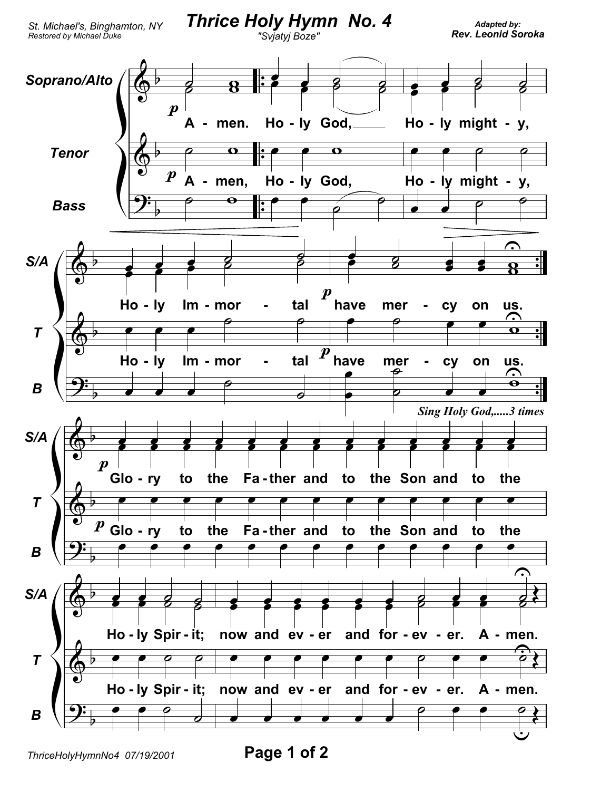